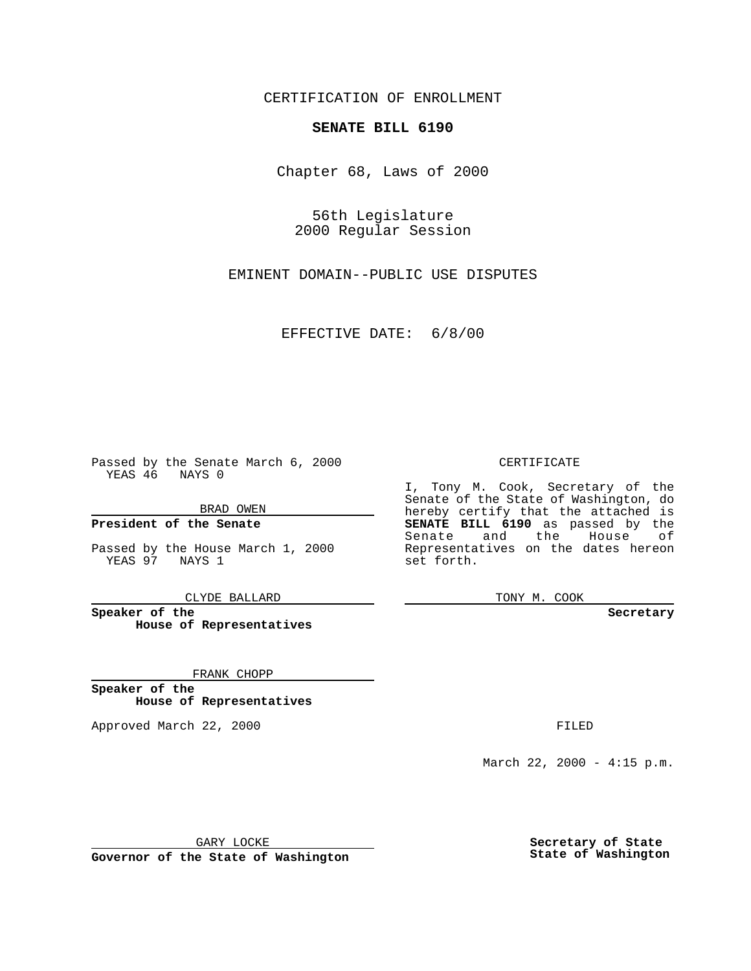CERTIFICATION OF ENROLLMENT

# **SENATE BILL 6190**

Chapter 68, Laws of 2000

56th Legislature 2000 Regular Session

EMINENT DOMAIN--PUBLIC USE DISPUTES

EFFECTIVE DATE: 6/8/00

Passed by the Senate March 6, 2000 YEAS 46 NAYS 0

BRAD OWEN

**President of the Senate**

Passed by the House March 1, 2000 YEAS 97 NAYS 1

CLYDE BALLARD

**Speaker of the House of Representatives**

FRANK CHOPP

**Speaker of the House of Representatives**

Approved March 22, 2000 FILED

#### CERTIFICATE

I, Tony M. Cook, Secretary of the Senate of the State of Washington, do hereby certify that the attached is **SENATE BILL 6190** as passed by the Senate and the House of Representatives on the dates hereon set forth.

TONY M. COOK

#### **Secretary**

March 22, 2000 - 4:15 p.m.

GARY LOCKE

**Governor of the State of Washington**

**Secretary of State State of Washington**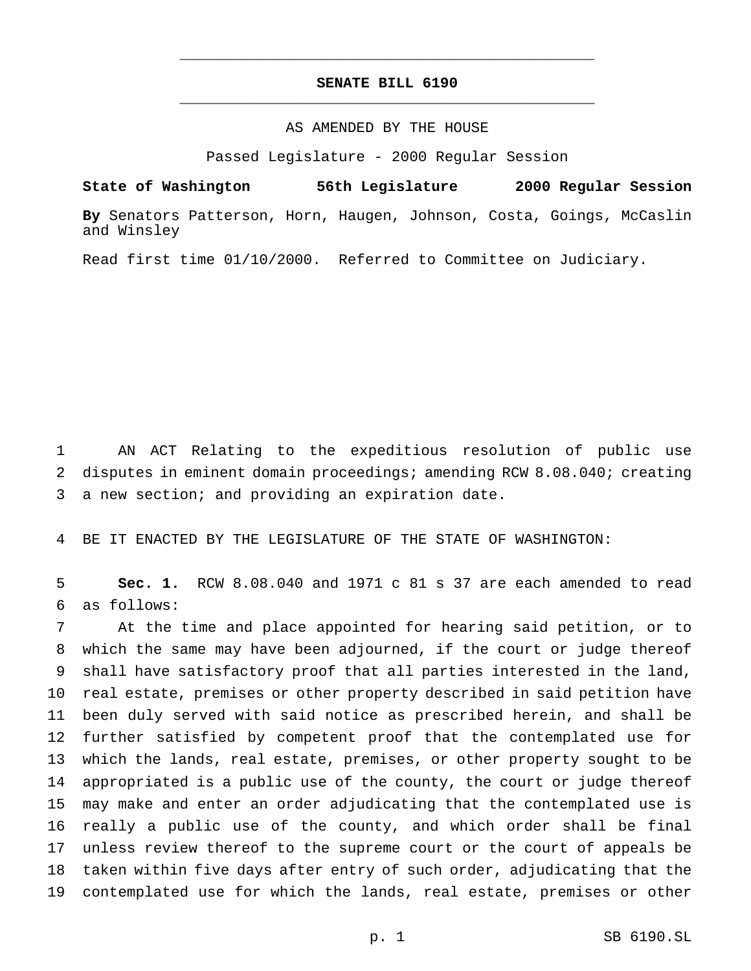## **SENATE BILL 6190** \_\_\_\_\_\_\_\_\_\_\_\_\_\_\_\_\_\_\_\_\_\_\_\_\_\_\_\_\_\_\_\_\_\_\_\_\_\_\_\_\_\_\_\_\_\_\_

\_\_\_\_\_\_\_\_\_\_\_\_\_\_\_\_\_\_\_\_\_\_\_\_\_\_\_\_\_\_\_\_\_\_\_\_\_\_\_\_\_\_\_\_\_\_\_

### AS AMENDED BY THE HOUSE

Passed Legislature - 2000 Regular Session

**State of Washington 56th Legislature 2000 Regular Session By** Senators Patterson, Horn, Haugen, Johnson, Costa, Goings, McCaslin and Winsley

Read first time 01/10/2000. Referred to Committee on Judiciary.

 AN ACT Relating to the expeditious resolution of public use disputes in eminent domain proceedings; amending RCW 8.08.040; creating a new section; and providing an expiration date.

BE IT ENACTED BY THE LEGISLATURE OF THE STATE OF WASHINGTON:

 **Sec. 1.** RCW 8.08.040 and 1971 c 81 s 37 are each amended to read as follows:

 At the time and place appointed for hearing said petition, or to which the same may have been adjourned, if the court or judge thereof shall have satisfactory proof that all parties interested in the land, real estate, premises or other property described in said petition have been duly served with said notice as prescribed herein, and shall be further satisfied by competent proof that the contemplated use for which the lands, real estate, premises, or other property sought to be appropriated is a public use of the county, the court or judge thereof may make and enter an order adjudicating that the contemplated use is really a public use of the county, and which order shall be final unless review thereof to the supreme court or the court of appeals be taken within five days after entry of such order, adjudicating that the contemplated use for which the lands, real estate, premises or other